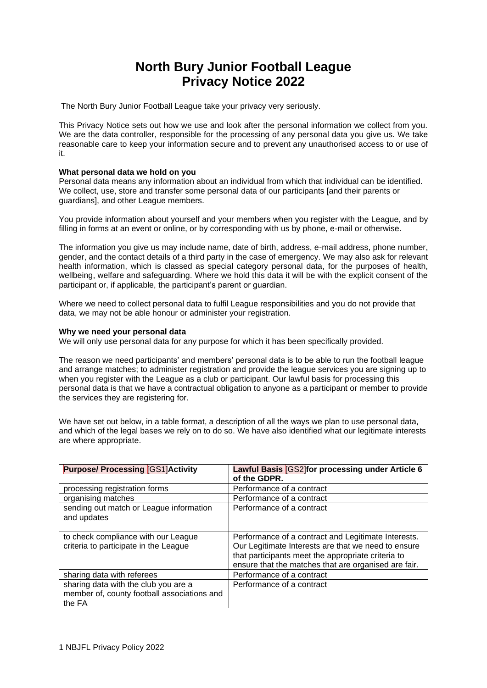# **North Bury Junior Football League Privacy Notice 2022**

The North Bury Junior Football League take your privacy very seriously.

This Privacy Notice sets out how we use and look after the personal information we collect from you. We are the data controller, responsible for the processing of any personal data you give us. We take reasonable care to keep your information secure and to prevent any unauthorised access to or use of it.

## **What personal data we hold on you**

Personal data means any information about an individual from which that individual can be identified. We collect, use, store and transfer some personal data of our participants [and their parents or guardians], and other League members.

You provide information about yourself and your members when you register with the League, and by filling in forms at an event or online, or by corresponding with us by phone, e-mail or otherwise.

The information you give us may include name, date of birth, address, e-mail address, phone number, gender, and the contact details of a third party in the case of emergency. We may also ask for relevant health information, which is classed as special category personal data, for the purposes of health, wellbeing, welfare and safeguarding. Where we hold this data it will be with the explicit consent of the participant or, if applicable, the participant's parent or guardian.

Where we need to collect personal data to fulfil League responsibilities and you do not provide that data, we may not be able honour or administer your registration.

### **Why we need your personal data**

We will only use personal data for any purpose for which it has been specifically provided.

The reason we need participants' and members' personal data is to be able to run the football league and arrange matches; to administer registration and provide the league services you are signing up to when you register with the League as a club or participant. Our lawful basis for processing this personal data is that we have a contractual obligation to anyone as a participant or member to provide the services they are registering for.

We have set out below, in a table format, a description of all the ways we plan to use personal data, and which of the legal bases we rely on to do so. We have also identified what our legitimate interests are where appropriate.

| <b>Purpose/ Processing [GS1]Activity</b>                                                      | Lawful Basis [GS2]for processing under Article 6<br>of the GDPR.                                                                                                                                                         |
|-----------------------------------------------------------------------------------------------|--------------------------------------------------------------------------------------------------------------------------------------------------------------------------------------------------------------------------|
| processing registration forms                                                                 | Performance of a contract                                                                                                                                                                                                |
| organising matches                                                                            | Performance of a contract                                                                                                                                                                                                |
| sending out match or League information<br>and updates                                        | Performance of a contract                                                                                                                                                                                                |
| to check compliance with our League<br>criteria to participate in the League                  | Performance of a contract and Legitimate Interests.<br>Our Legitimate Interests are that we need to ensure<br>that participants meet the appropriate criteria to<br>ensure that the matches that are organised are fair. |
| sharing data with referees                                                                    | Performance of a contract                                                                                                                                                                                                |
| sharing data with the club you are a<br>member of, county football associations and<br>the FA | Performance of a contract                                                                                                                                                                                                |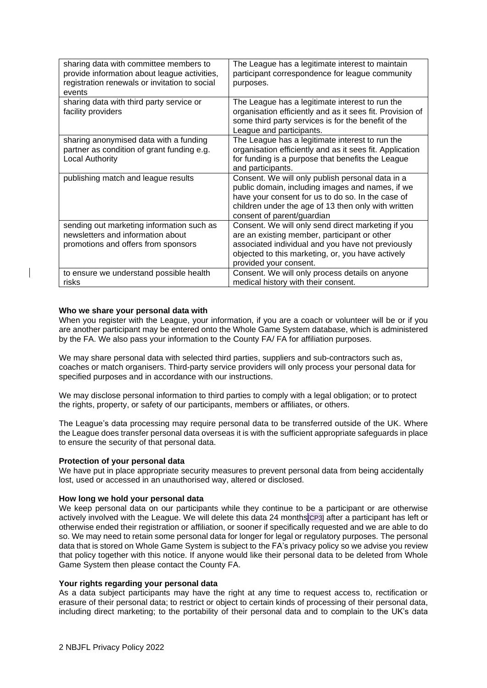| sharing data with committee members to<br>provide information about league activities,<br>registration renewals or invitation to social<br>events | The League has a legitimate interest to maintain<br>participant correspondence for league community<br>purposes.                                                                                                                               |
|---------------------------------------------------------------------------------------------------------------------------------------------------|------------------------------------------------------------------------------------------------------------------------------------------------------------------------------------------------------------------------------------------------|
| sharing data with third party service or<br>facility providers                                                                                    | The League has a legitimate interest to run the<br>organisation efficiently and as it sees fit. Provision of<br>some third party services is for the benefit of the<br>League and participants.                                                |
| sharing anonymised data with a funding<br>partner as condition of grant funding e.g.<br><b>Local Authority</b>                                    | The League has a legitimate interest to run the<br>organisation efficiently and as it sees fit. Application<br>for funding is a purpose that benefits the League<br>and participants.                                                          |
| publishing match and league results                                                                                                               | Consent. We will only publish personal data in a<br>public domain, including images and names, if we<br>have your consent for us to do so. In the case of<br>children under the age of 13 then only with written<br>consent of parent/guardian |
| sending out marketing information such as<br>newsletters and information about<br>promotions and offers from sponsors                             | Consent. We will only send direct marketing if you<br>are an existing member, participant or other<br>associated individual and you have not previously<br>objected to this marketing, or, you have actively<br>provided your consent.         |
| to ensure we understand possible health<br>risks                                                                                                  | Consent. We will only process details on anyone<br>medical history with their consent.                                                                                                                                                         |

## **Who we share your personal data with**

When you register with the League, your information, if you are a coach or volunteer will be or if you are another participant may be entered onto the Whole Game System database, which is administered by the FA. We also pass your information to the County FA/ FA for affiliation purposes.

We may share personal data with selected third parties, suppliers and sub-contractors such as, coaches or match organisers. Third-party service providers will only process your personal data for specified purposes and in accordance with our instructions.

We may disclose personal information to third parties to comply with a legal obligation; or to protect the rights, property, or safety of our participants, members or affiliates, or others.

The League's data processing may require personal data to be transferred outside of the UK. Where the League does transfer personal data overseas it is with the sufficient appropriate safeguards in place to ensure the security of that personal data.

### **Protection of your personal data**

We have put in place appropriate security measures to prevent personal data from being accidentally lost, used or accessed in an unauthorised way, altered or disclosed.

### **How long we hold your personal data**

We keep personal data on our participants while they continue to be a participant or are otherwise actively involved with the League. We will delete this data 24 months[CP3] after a participant has left or otherwise ended their registration or affiliation, or sooner if specifically requested and we are able to do so. We may need to retain some personal data for longer for legal or regulatory purposes. The personal data that is stored on Whole Game System is subject to the FA's privacy policy so we advise you review that policy together with this notice. If anyone would like their personal data to be deleted from Whole Game System then please contact the County FA.

## **Your rights regarding your personal data**

As a data subject participants may have the right at any time to request access to, rectification or erasure of their personal data; to restrict or object to certain kinds of processing of their personal data, including direct marketing; to the portability of their personal data and to complain to the UK's data